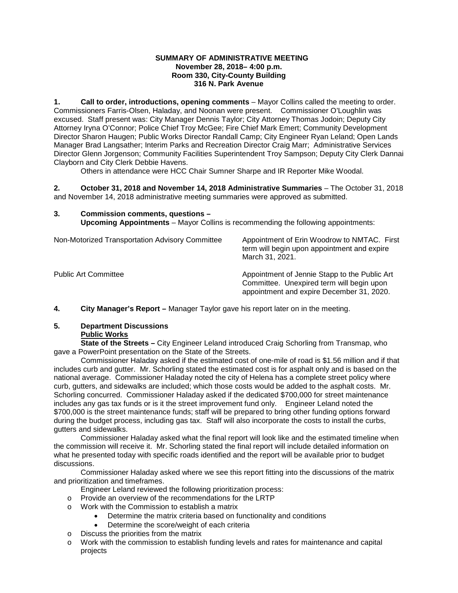### **SUMMARY OF ADMINISTRATIVE MEETING November 28, 2018– 4:00 p.m. Room 330, City-County Building 316 N. Park Avenue**

**1. Call to order, introductions, opening comments** – Mayor Collins called the meeting to order. Commissioners Farris-Olsen, Haladay, and Noonan were present. Commissioner O'Loughlin was excused. Staff present was: City Manager Dennis Taylor; City Attorney Thomas Jodoin; Deputy City Attorney Iryna O'Connor; Police Chief Troy McGee; Fire Chief Mark Emert; Community Development Director Sharon Haugen; Public Works Director Randall Camp; City Engineer Ryan Leland; Open Lands Manager Brad Langsather; Interim Parks and Recreation Director Craig Marr; Administrative Services Director Glenn Jorgenson; Community Facilities Superintendent Troy Sampson; Deputy City Clerk Dannai Clayborn and City Clerk Debbie Havens.

Others in attendance were HCC Chair Sumner Sharpe and IR Reporter Mike Woodal.

**2. October 31, 2018 and November 14, 2018 Administrative Summaries** – The October 31, 2018 and November 14, 2018 administrative meeting summaries were approved as submitted.

**3. Commission comments, questions – Upcoming Appointments** – Mayor Collins is recommending the following appointments:

| Non-Motorized Transportation Advisory Committee | Appointment of Erin Woodrow to NMTAC. First<br>term will begin upon appointment and expire<br>March 31, 2021.                           |
|-------------------------------------------------|-----------------------------------------------------------------------------------------------------------------------------------------|
| <b>Public Art Committee</b>                     | Appointment of Jennie Stapp to the Public Art<br>Committee. Unexpired term will begin upon<br>appointment and expire December 31, 2020. |

**4. City Manager's Report –** Manager Taylor gave his report later on in the meeting.

# **5. Department Discussions Public Works**

**State of the Streets –** City Engineer Leland introduced Craig Schorling from Transmap, who gave a PowerPoint presentation on the State of the Streets.

Commissioner Haladay asked if the estimated cost of one-mile of road is \$1.56 million and if that includes curb and gutter. Mr. Schorling stated the estimated cost is for asphalt only and is based on the national average. Commissioner Haladay noted the city of Helena has a complete street policy where curb, gutters, and sidewalks are included; which those costs would be added to the asphalt costs. Mr. Schorling concurred. Commissioner Haladay asked if the dedicated \$700,000 for street maintenance includes any gas tax funds or is it the street improvement fund only. Engineer Leland noted the \$700,000 is the street maintenance funds; staff will be prepared to bring other funding options forward during the budget process, including gas tax. Staff will also incorporate the costs to install the curbs, gutters and sidewalks.

Commissioner Haladay asked what the final report will look like and the estimated timeline when the commission will receive it. Mr. Schorling stated the final report will include detailed information on what he presented today with specific roads identified and the report will be available prior to budget discussions.

Commissioner Haladay asked where we see this report fitting into the discussions of the matrix and prioritization and timeframes.

- Engineer Leland reviewed the following prioritization process:
- o Provide an overview of the recommendations for the LRTP
- o Work with the Commission to establish a matrix
	- Determine the matrix criteria based on functionality and conditions
	- Determine the score/weight of each criteria
- o Discuss the priorities from the matrix
- o Work with the commission to establish funding levels and rates for maintenance and capital projects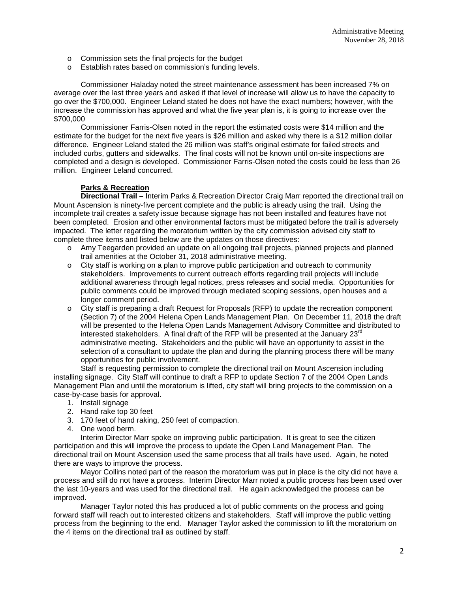- o Commission sets the final projects for the budget
- o Establish rates based on commission's funding levels.

Commissioner Haladay noted the street maintenance assessment has been increased 7% on average over the last three years and asked if that level of increase will allow us to have the capacity to go over the \$700,000. Engineer Leland stated he does not have the exact numbers; however, with the increase the commission has approved and what the five year plan is, it is going to increase over the \$700,000

Commissioner Farris-Olsen noted in the report the estimated costs were \$14 million and the estimate for the budget for the next five years is \$26 million and asked why there is a \$12 million dollar difference. Engineer Leland stated the 26 million was staff's original estimate for failed streets and included curbs, gutters and sidewalks. The final costs will not be known until on-site inspections are completed and a design is developed. Commissioner Farris-Olsen noted the costs could be less than 26 million. Engineer Leland concurred.

## **Parks & Recreation**

**Directional Trail –** Interim Parks & Recreation Director Craig Marr reported the directional trail on Mount Ascension is ninety-five percent complete and the public is already using the trail. Using the incomplete trail creates a safety issue because signage has not been installed and features have not been completed. Erosion and other environmental factors must be mitigated before the trail is adversely impacted. The letter regarding the moratorium written by the city commission advised city staff to complete three items and listed below are the updates on those directives:

- o Amy Teegarden provided an update on all ongoing trail projects, planned projects and planned trail amenities at the October 31, 2018 administrative meeting.
- o City staff is working on a plan to improve public participation and outreach to community stakeholders. Improvements to current outreach efforts regarding trail projects will include additional awareness through legal notices, press releases and social media. Opportunities for public comments could be improved through mediated scoping sessions, open houses and a longer comment period.
- o City staff is preparing a draft Request for Proposals (RFP) to update the recreation component (Section 7) of the 2004 Helena Open Lands Management Plan. On December 11, 2018 the draft will be presented to the Helena Open Lands Management Advisory Committee and distributed to interested stakeholders. A final draft of the RFP will be presented at the January 23<sup>rd</sup> administrative meeting. Stakeholders and the public will have an opportunity to assist in the selection of a consultant to update the plan and during the planning process there will be many opportunities for public involvement.

Staff is requesting permission to complete the directional trail on Mount Ascension including installing signage. City Staff will continue to draft a RFP to update Section 7 of the 2004 Open Lands Management Plan and until the moratorium is lifted, city staff will bring projects to the commission on a case-by-case basis for approval.

- 1. Install signage
- 2. Hand rake top 30 feet
- 3. 170 feet of hand raking, 250 feet of compaction.
- 4. One wood berm.

Interim Director Marr spoke on improving public participation. It is great to see the citizen participation and this will improve the process to update the Open Land Management Plan. The directional trail on Mount Ascension used the same process that all trails have used. Again, he noted there are ways to improve the process.

Mayor Collins noted part of the reason the moratorium was put in place is the city did not have a process and still do not have a process. Interim Director Marr noted a public process has been used over the last 10-years and was used for the directional trail. He again acknowledged the process can be improved.

Manager Taylor noted this has produced a lot of public comments on the process and going forward staff will reach out to interested citizens and stakeholders. Staff will improve the public vetting process from the beginning to the end. Manager Taylor asked the commission to lift the moratorium on the 4 items on the directional trail as outlined by staff.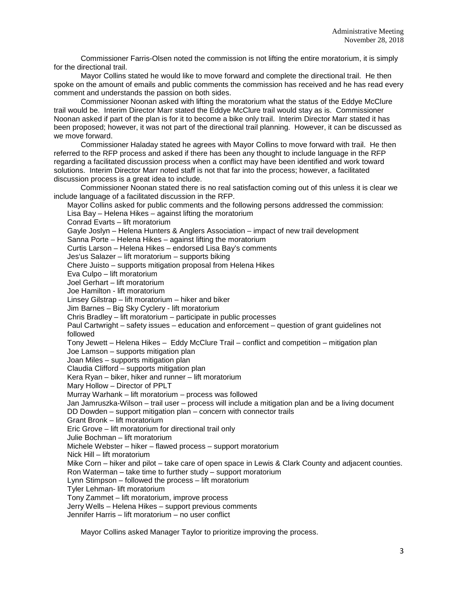Commissioner Farris-Olsen noted the commission is not lifting the entire moratorium, it is simply for the directional trail.

Mayor Collins stated he would like to move forward and complete the directional trail. He then spoke on the amount of emails and public comments the commission has received and he has read every comment and understands the passion on both sides.

Commissioner Noonan asked with lifting the moratorium what the status of the Eddye McClure trail would be. Interim Director Marr stated the Eddye McClure trail would stay as is. Commissioner Noonan asked if part of the plan is for it to become a bike only trail. Interim Director Marr stated it has been proposed; however, it was not part of the directional trail planning. However, it can be discussed as we move forward.

Commissioner Haladay stated he agrees with Mayor Collins to move forward with trail. He then referred to the RFP process and asked if there has been any thought to include language in the RFP regarding a facilitated discussion process when a conflict may have been identified and work toward solutions. Interim Director Marr noted staff is not that far into the process; however, a facilitated discussion process is a great idea to include.

Commissioner Noonan stated there is no real satisfaction coming out of this unless it is clear we include language of a facilitated discussion in the RFP.

Mayor Collins asked for public comments and the following persons addressed the commission: Lisa Bay – Helena Hikes – against lifting the moratorium Conrad Evarts – lift moratorium Gayle Joslyn – Helena Hunters & Anglers Association – impact of new trail development Sanna Porte – Helena Hikes – against lifting the moratorium Curtis Larson – Helena Hikes – endorsed Lisa Bay's comments Jes'us Salazer – lift moratorium – supports biking Chere Juisto – supports mitigation proposal from Helena Hikes Eva Culpo – lift moratorium Joel Gerhart – lift moratorium Joe Hamilton - lift moratorium Linsey Gilstrap – lift moratorium – hiker and biker Jim Barnes – Big Sky Cyclery - lift moratorium Chris Bradley – lift moratorium – participate in public processes Paul Cartwright – safety issues – education and enforcement – question of grant guidelines not followed Tony Jewett – Helena Hikes – Eddy McClure Trail – conflict and competition – mitigation plan Joe Lamson – supports mitigation plan Joan Miles – supports mitigation plan Claudia Clifford – supports mitigation plan Kera Ryan – biker, hiker and runner – lift moratorium Mary Hollow – Director of PPLT Murray Warhank – lift moratorium – process was followed Jan Jamruszka-Wilson – trail user – process will include a mitigation plan and be a living document DD Dowden – support mitigation plan – concern with connector trails Grant Bronk – lift moratorium Eric Grove – lift moratorium for directional trail only Julie Bochman – lift moratorium Michele Webster – hiker – flawed process – support moratorium Nick Hill – lift moratorium Mike Corn – hiker and pilot – take care of open space in Lewis & Clark County and adjacent counties. Ron Waterman – take time to further study – support moratorium Lynn Stimpson – followed the process – lift moratorium Tyler Lehman- lift moratorium Tony Zammet – lift moratorium, improve process Jerry Wells – Helena Hikes – support previous comments Jennifer Harris – lift moratorium – no user conflict

Mayor Collins asked Manager Taylor to prioritize improving the process.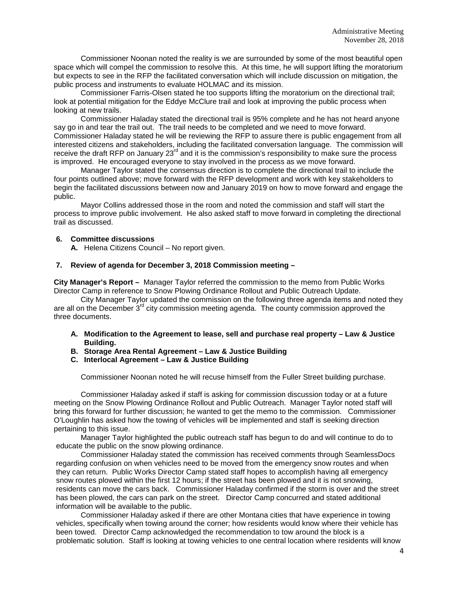Commissioner Noonan noted the reality is we are surrounded by some of the most beautiful open space which will compel the commission to resolve this. At this time, he will support lifting the moratorium but expects to see in the RFP the facilitated conversation which will include discussion on mitigation, the public process and instruments to evaluate HOLMAC and its mission.

Commissioner Farris-Olsen stated he too supports lifting the moratorium on the directional trail; look at potential mitigation for the Eddye McClure trail and look at improving the public process when looking at new trails.

Commissioner Haladay stated the directional trail is 95% complete and he has not heard anyone say go in and tear the trail out. The trail needs to be completed and we need to move forward. Commissioner Haladay stated he will be reviewing the RFP to assure there is public engagement from all interested citizens and stakeholders, including the facilitated conversation language. The commission will receive the draft RFP on January  $23<sup>rd</sup>$  and it is the commission's responsibility to make sure the process is improved. He encouraged everyone to stay involved in the process as we move forward.

Manager Taylor stated the consensus direction is to complete the directional trail to include the four points outlined above; move forward with the RFP development and work with key stakeholders to begin the facilitated discussions between now and January 2019 on how to move forward and engage the public.

Mayor Collins addressed those in the room and noted the commission and staff will start the process to improve public involvement. He also asked staff to move forward in completing the directional trail as discussed.

## **6. Committee discussions**

**A.** Helena Citizens Council – No report given.

#### **7. Review of agenda for December 3, 2018 Commission meeting –**

**City Manager's Report –** Manager Taylor referred the commission to the memo from Public Works Director Camp in reference to Snow Plowing Ordinance Rollout and Public Outreach Update.

City Manager Taylor updated the commission on the following three agenda items and noted they are all on the December  $3<sup>rd</sup>$  city commission meeting agenda. The county commission approved the three documents.

- **A. Modification to the Agreement to lease, sell and purchase real property – Law & Justice Building.**
- **B. Storage Area Rental Agreement – Law & Justice Building**
- **C. Interlocal Agreement – Law & Justice Building**

Commissioner Noonan noted he will recuse himself from the Fuller Street building purchase.

Commissioner Haladay asked if staff is asking for commission discussion today or at a future meeting on the Snow Plowing Ordinance Rollout and Public Outreach. Manager Taylor noted staff will bring this forward for further discussion; he wanted to get the memo to the commission. Commissioner O'Loughlin has asked how the towing of vehicles will be implemented and staff is seeking direction pertaining to this issue.

Manager Taylor highlighted the public outreach staff has begun to do and will continue to do to educate the public on the snow plowing ordinance.

Commissioner Haladay stated the commission has received comments through SeamlessDocs regarding confusion on when vehicles need to be moved from the emergency snow routes and when they can return. Public Works Director Camp stated staff hopes to accomplish having all emergency snow routes plowed within the first 12 hours; if the street has been plowed and it is not snowing, residents can move the cars back. Commissioner Haladay confirmed if the storm is over and the street has been plowed, the cars can park on the street. Director Camp concurred and stated additional information will be available to the public.

Commissioner Haladay asked if there are other Montana cities that have experience in towing vehicles, specifically when towing around the corner; how residents would know where their vehicle has been towed. Director Camp acknowledged the recommendation to tow around the block is a problematic solution. Staff is looking at towing vehicles to one central location where residents will know